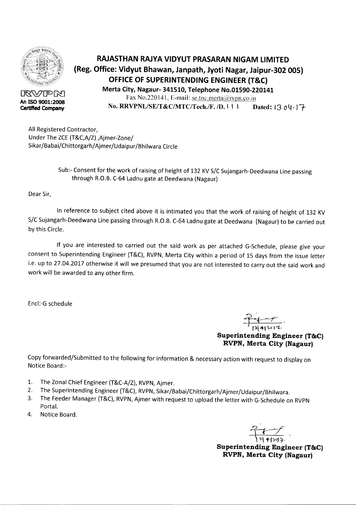

43WPR **An ISO 9001:2008 Certified Company**

## **RAJASTHAN RAJYA VIDYUT PRASARAN NIGAM LIMITED (Reg. Office: Vidyut Bhawan, Janpath, Jyoti Nagar, Jaipur-302 005) OFFICE OF SUPERINTENDING ENGINEER (T&C) Merta City, Nagaur- 341510, Telephone No.01590-220141**

Fax No.220141, E-mail: se.tnc.merta@rvpn.co.in **No. RRVPNL/SE/T&C/MTC/Tech./F. /D. 1 1 | Dated: 13.04.17-**

All Registered Contractor, Under The ZCE(T&C,A/Z),Ajmer-Zone/ Sikar/Babai/Chittorgarh/Ajmer/Udaipur/Bhilwara Circle

> Sub:- Consent for the work of raising of height of 132 KV S/C Sujangarh-Deedwana Line passing through R.O.B. C-64 Ladnu gate at Deedwana (Nagaur)

Dear Sir,

In reference to subject cited above it is intimated you that the work of raising of height of 132 KV S/C Sujangarh-Deedwana Line passing through R.O.B. C-64 Ladnu gate at Deedwana (Nagaur) to be carried out by this Circle.

If you are interested to carried out the said work as per attached G-Schedule, please give your consent to Superintending Engineer (T&C), RVPN, Merta City within a period of 15 days from the issue letter i.e. up to 27.04.2017 otherwise it will we presumed that you are not interested to carry out the said work and work will be awarded to any other firm.

Encl:-G schedule

<u>2010</u><br>Pizi 41301

**Superintending Engineer (T&C) RVPN, Merta City (Nagaur)**

Copy forwarded/Submitted to the following for information & necessary action with request to display on Notice Board:-

- 1. The Zonal Chief Engineer (T&C-A/Z), RVPN, Ajmer.
- 2. The Superintending Engineer (T&C), RVPN, Sikar/Babai/Chittorgarh/Ajmer/Udaipur/Bhilwara.
- 3. The Feeder Manager (T&C), RVPN, Ajmer with request to upload the letter with G-Schedule on RVPN Portal.
- 4. Notice Board.

 $\frac{2}{14}$ \ 7\ <del>11</del>597

**Superintending Engineer (T&C) RVPN, Merta City (Nagaur)**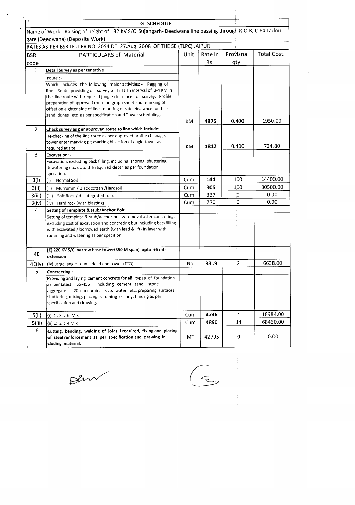| Name of Work:- Raising of height of 132 KV S/C Sujangarh-Deedwana line passing through R.O.B, C-64 Ladnu<br>Provisnal<br>qty. | Total Cost.                                  |
|-------------------------------------------------------------------------------------------------------------------------------|----------------------------------------------|
|                                                                                                                               |                                              |
|                                                                                                                               |                                              |
|                                                                                                                               |                                              |
|                                                                                                                               |                                              |
|                                                                                                                               |                                              |
|                                                                                                                               |                                              |
|                                                                                                                               |                                              |
|                                                                                                                               |                                              |
|                                                                                                                               |                                              |
|                                                                                                                               |                                              |
|                                                                                                                               |                                              |
|                                                                                                                               |                                              |
|                                                                                                                               |                                              |
| 0.400                                                                                                                         | 1950.00                                      |
|                                                                                                                               |                                              |
|                                                                                                                               |                                              |
| 0.400                                                                                                                         | 724.80                                       |
|                                                                                                                               |                                              |
|                                                                                                                               |                                              |
|                                                                                                                               |                                              |
|                                                                                                                               |                                              |
| 100                                                                                                                           | 14400.00                                     |
| 100                                                                                                                           | 30500.00                                     |
| 0                                                                                                                             | 0.00                                         |
| 0                                                                                                                             | 0.00                                         |
|                                                                                                                               |                                              |
|                                                                                                                               |                                              |
|                                                                                                                               |                                              |
|                                                                                                                               |                                              |
|                                                                                                                               |                                              |
|                                                                                                                               |                                              |
|                                                                                                                               |                                              |
|                                                                                                                               | 6638.00                                      |
|                                                                                                                               |                                              |
|                                                                                                                               |                                              |
|                                                                                                                               |                                              |
|                                                                                                                               |                                              |
|                                                                                                                               |                                              |
|                                                                                                                               |                                              |
|                                                                                                                               | 18984.00                                     |
|                                                                                                                               | 68460.00                                     |
|                                                                                                                               |                                              |
|                                                                                                                               |                                              |
| 0                                                                                                                             | 0.00                                         |
|                                                                                                                               | V.<br>$\overline{2}$<br>$\overline{A}$<br>14 |

 $\beta$ lm

 $\frac{1}{2}$